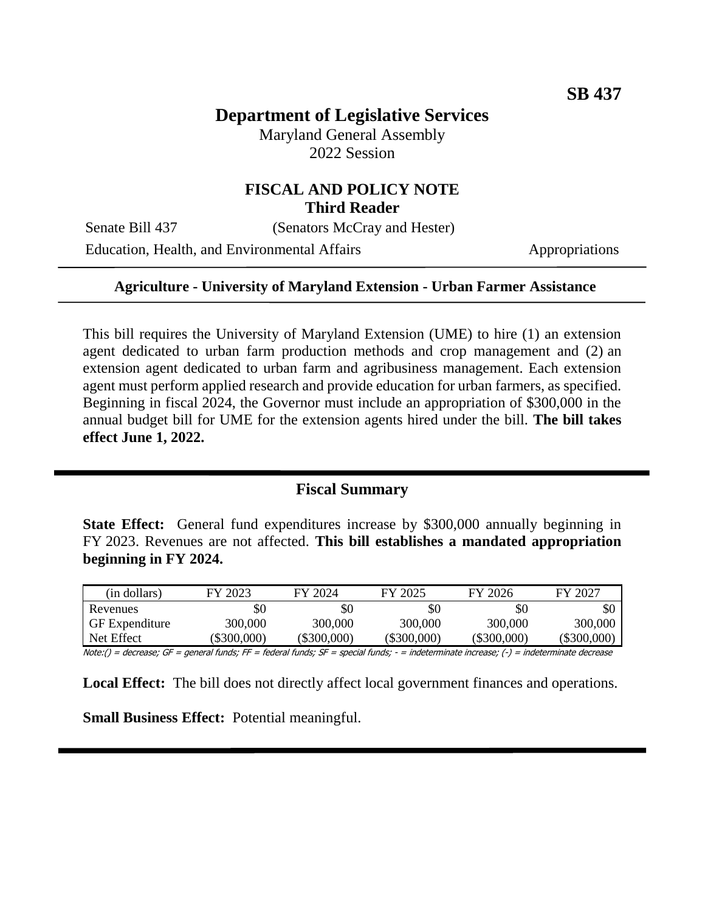# **Department of Legislative Services**

Maryland General Assembly 2022 Session

#### **FISCAL AND POLICY NOTE Third Reader**

Senate Bill 437 (Senators McCray and Hester)

Education, Health, and Environmental Affairs Appropriations

#### **Agriculture - University of Maryland Extension - Urban Farmer Assistance**

This bill requires the University of Maryland Extension (UME) to hire (1) an extension agent dedicated to urban farm production methods and crop management and (2) an extension agent dedicated to urban farm and agribusiness management. Each extension agent must perform applied research and provide education for urban farmers, as specified. Beginning in fiscal 2024, the Governor must include an appropriation of \$300,000 in the annual budget bill for UME for the extension agents hired under the bill. **The bill takes effect June 1, 2022.**

## **Fiscal Summary**

**State Effect:** General fund expenditures increase by \$300,000 annually beginning in FY 2023. Revenues are not affected. **This bill establishes a mandated appropriation beginning in FY 2024.**

| (in dollars)          | FY 2023   | FY 2024       | FY 2025     | FY 2026     | FY 2027   |
|-----------------------|-----------|---------------|-------------|-------------|-----------|
| Revenues              | \$0       | \$0           | \$0         | \$C         | \$0       |
| <b>GF</b> Expenditure | 300,000   | 300,000       | 300,000     | 300,000     | 300,000   |
| Net Effect            | \$300,000 | $(\$300,000)$ | (\$300,000) | (\$300,000) | \$300,000 |

Note:() = decrease; GF = general funds; FF = federal funds; SF = special funds; - = indeterminate increase; (-) = indeterminate decrease

**Local Effect:** The bill does not directly affect local government finances and operations.

**Small Business Effect:** Potential meaningful.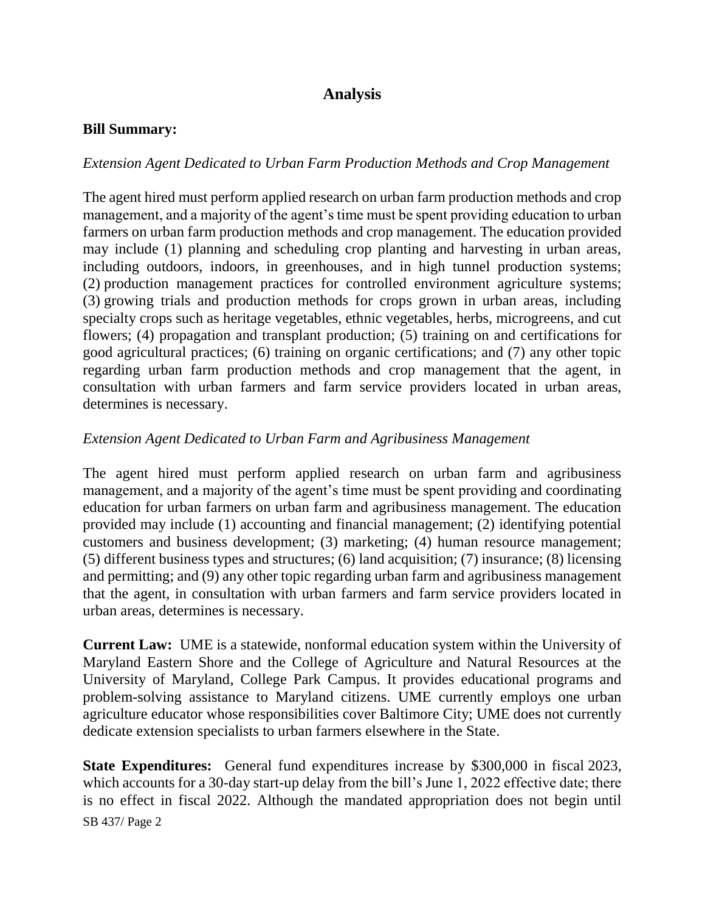# **Analysis**

#### **Bill Summary:**

## *Extension Agent Dedicated to Urban Farm Production Methods and Crop Management*

The agent hired must perform applied research on urban farm production methods and crop management, and a majority of the agent's time must be spent providing education to urban farmers on urban farm production methods and crop management. The education provided may include (1) planning and scheduling crop planting and harvesting in urban areas, including outdoors, indoors, in greenhouses, and in high tunnel production systems; (2) production management practices for controlled environment agriculture systems; (3) growing trials and production methods for crops grown in urban areas, including specialty crops such as heritage vegetables, ethnic vegetables, herbs, microgreens, and cut flowers; (4) propagation and transplant production; (5) training on and certifications for good agricultural practices; (6) training on organic certifications; and (7) any other topic regarding urban farm production methods and crop management that the agent, in consultation with urban farmers and farm service providers located in urban areas, determines is necessary.

## *Extension Agent Dedicated to Urban Farm and Agribusiness Management*

The agent hired must perform applied research on urban farm and agribusiness management, and a majority of the agent's time must be spent providing and coordinating education for urban farmers on urban farm and agribusiness management. The education provided may include (1) accounting and financial management; (2) identifying potential customers and business development; (3) marketing; (4) human resource management; (5) different business types and structures; (6) land acquisition; (7) insurance; (8) licensing and permitting; and (9) any other topic regarding urban farm and agribusiness management that the agent, in consultation with urban farmers and farm service providers located in urban areas, determines is necessary.

**Current Law:** UME is a statewide, nonformal education system within the University of Maryland Eastern Shore and the College of Agriculture and Natural Resources at the University of Maryland, College Park Campus. It provides educational programs and problem-solving assistance to Maryland citizens. UME currently employs one urban agriculture educator whose responsibilities cover Baltimore City; UME does not currently dedicate extension specialists to urban farmers elsewhere in the State.

SB 437/ Page 2 **State Expenditures:** General fund expenditures increase by \$300,000 in fiscal 2023, which accounts for a 30-day start-up delay from the bill's June 1, 2022 effective date; there is no effect in fiscal 2022. Although the mandated appropriation does not begin until